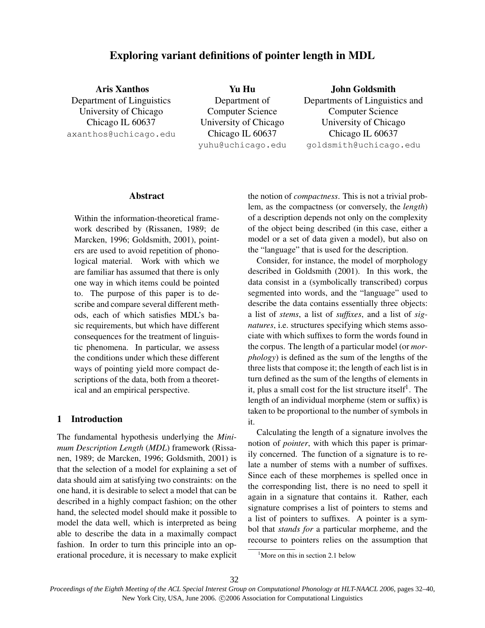# Exploring variant definitions of pointer length in MDL

Aris Xanthos Department of Linguistics University of Chicago Chicago IL 60637 axanthos@uchicago.edu

Yu Hu Department of Computer Science University of Chicago Chicago IL 60637 yuhu@uchicago.edu

John Goldsmith Departments of Linguistics and Computer Science University of Chicago Chicago IL 60637 goldsmith@uchicago.edu

# Abstract

Within the information-theoretical framework described by (Rissanen, 1989; de Marcken, 1996; Goldsmith, 2001), pointers are used to avoid repetition of phonological material. Work with which we are familiar has assumed that there is only one way in which items could be pointed to. The purpose of this paper is to describe and compare several different methods, each of which satisfies MDL's basic requirements, but which have different consequences for the treatment of linguistic phenomena. In particular, we assess the conditions under which these different ways of pointing yield more compact descriptions of the data, both from a theoretical and an empirical perspective.

# 1 Introduction

The fundamental hypothesis underlying the *Minimum Description Length* (*MDL*) framework (Rissanen, 1989; de Marcken, 1996; Goldsmith, 2001) is that the selection of a model for explaining a set of data should aim at satisfying two constraints: on the one hand, it is desirable to select a model that can be described in a highly compact fashion; on the other hand, the selected model should make it possible to model the data well, which is interpreted as being able to describe the data in a maximally compact fashion. In order to turn this principle into an operational procedure, it is necessary to make explicit the notion of *compactness*. This is not a trivial problem, as the compactness (or conversely, the *length*) of a description depends not only on the complexity of the object being described (in this case, either a model or a set of data given a model), but also on the "language" that is used for the description.

Consider, for instance, the model of morphology described in Goldsmith (2001). In this work, the data consist in a (symbolically transcribed) corpus segmented into words, and the "language" used to describe the data contains essentially three objects: a list of *stems*, a list of *suffixes*, and a list of *signatures*, i.e. structures specifying which stems associate with which suffixes to form the words found in the corpus. The length of a particular model (or *morphology*) is defined as the sum of the lengths of the three lists that compose it; the length of each list is in turn defined as the sum of the lengths of elements in it, plus a small cost for the list structure itself<sup>1</sup>. The length of an individual morpheme (stem or suffix) is taken to be proportional to the number of symbols in it.

Calculating the length of a signature involves the notion of *pointer*, with which this paper is primarily concerned. The function of a signature is to relate a number of stems with a number of suffixes. Since each of these morphemes is spelled once in the corresponding list, there is no need to spell it again in a signature that contains it. Rather, each signature comprises a list of pointers to stems and a list of pointers to suffixes. A pointer is a symbol that *stands for* a particular morpheme, and the recourse to pointers relies on the assumption that

 $<sup>1</sup>$ More on this in section 2.1 below</sup>

*Proceedings of the Eighth Meeting of the ACL Special Interest Group on Computational Phonology at HLT-NAACL 2006*, pages 32–40, New York City, USA, June 2006.  $@2006$  Association for Computational Linguistics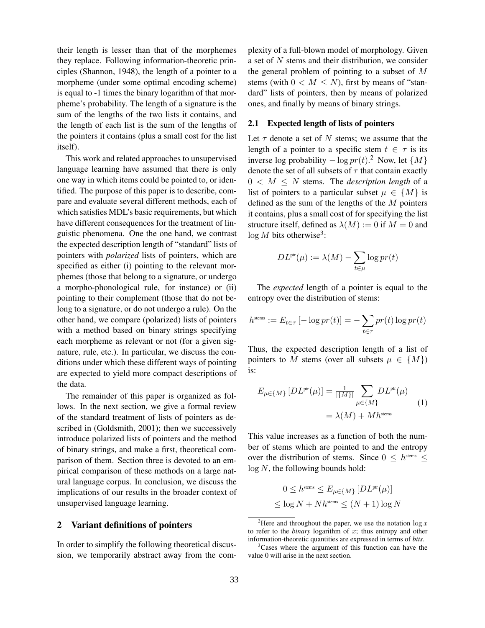their length is lesser than that of the morphemes they replace. Following information-theoretic principles (Shannon, 1948), the length of a pointer to a morpheme (under some optimal encoding scheme) is equal to -1 times the binary logarithm of that morpheme's probability. The length of a signature is the sum of the lengths of the two lists it contains, and the length of each list is the sum of the lengths of the pointers it contains (plus a small cost for the list itself).

This work and related approaches to unsupervised language learning have assumed that there is only one way in which items could be pointed to, or identified. The purpose of this paper is to describe, compare and evaluate several different methods, each of which satisfies MDL's basic requirements, but which have different consequences for the treatment of linguistic phenomena. One the one hand, we contrast the expected description length of "standard" lists of pointers with *polarized* lists of pointers, which are specified as either (i) pointing to the relevant morphemes (those that belong to a signature, or undergo a morpho-phonological rule, for instance) or (ii) pointing to their complement (those that do not belong to a signature, or do not undergo a rule). On the other hand, we compare (polarized) lists of pointers with a method based on binary strings specifying each morpheme as relevant or not (for a given signature, rule, etc.). In particular, we discuss the conditions under which these different ways of pointing are expected to yield more compact descriptions of the data.

The remainder of this paper is organized as follows. In the next section, we give a formal review of the standard treatment of lists of pointers as described in (Goldsmith, 2001); then we successively introduce polarized lists of pointers and the method of binary strings, and make a first, theoretical comparison of them. Section three is devoted to an empirical comparison of these methods on a large natural language corpus. In conclusion, we discuss the implications of our results in the broader context of unsupervised language learning.

#### 2 Variant definitions of pointers

In order to simplify the following theoretical discussion, we temporarily abstract away from the complexity of a full-blown model of morphology. Given a set of  $N$  stems and their distribution, we consider the general problem of pointing to a subset of M stems (with  $0 < M \leq N$ ), first by means of "standard" lists of pointers, then by means of polarized ones, and finally by means of binary strings.

#### 2.1 Expected length of lists of pointers

Let  $\tau$  denote a set of N stems; we assume that the length of a pointer to a specific stem  $t \in \tau$  is its inverse log probability  $-\log pr(t)$ .<sup>2</sup> Now, let  $\{M\}$ denote the set of all subsets of  $\tau$  that contain exactly  $0 \lt M \leq N$  stems. The *description length* of a list of pointers to a particular subset  $\mu \in \{M\}$  is defined as the sum of the lengths of the  $M$  pointers it contains, plus a small cost of for specifying the list structure itself, defined as  $\lambda(M) := 0$  if  $M = 0$  and  $\log M$  bits otherwise<sup>3</sup>:

$$
DL^{pr}(\mu) := \lambda(M) - \sum_{t \in \mu} \log pr(t)
$$

The *expected* length of a pointer is equal to the entropy over the distribution of stems:

$$
h^{\text{sems}} := E_{t \in \tau} \left[ -\log pr(t) \right] = -\sum_{t \in \tau} pr(t) \log pr(t)
$$

Thus, the expected description length of a list of pointers to M stems (over all subsets  $\mu \in \{M\}$ ) is:

$$
E_{\mu \in \{M\}} [DL^{\text{ptr}}(\mu)] = \frac{1}{|\{M\}|} \sum_{\mu \in \{M\}} DL^{\text{ptr}}(\mu)
$$
  
=  $\lambda(M) + M h^{\text{stem}}$  (1)

This value increases as a function of both the number of stems which are pointed to and the entropy over the distribution of stems. Since  $0 \leq h^{\text{stems}} \leq$  $log N$ , the following bounds hold:

$$
0 \leq h^{\text{sems}} \leq E_{\mu \in \{M\}} \left[ DL^{\text{ptr}}(\mu) \right]
$$
  

$$
\leq \log N + N h^{\text{sems}} \leq (N+1) \log N
$$

<sup>&</sup>lt;sup>2</sup>Here and throughout the paper, we use the notation  $\log x$ to refer to the *binary* logarithm of x; thus entropy and other information-theoretic quantities are expressed in terms of *bits*.

<sup>&</sup>lt;sup>3</sup>Cases where the argument of this function can have the value 0 will arise in the next section.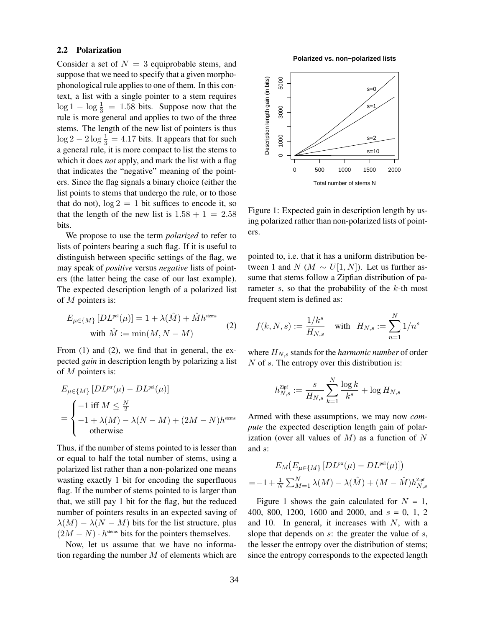#### 2.2 Polarization

Consider a set of  $N = 3$  equiprobable stems, and suppose that we need to specify that a given morphophonological rule applies to one of them. In this context, a list with a single pointer to a stem requires  $\log 1 - \log \frac{1}{3} = 1.58$  bits. Suppose now that the rule is more general and applies to two of the three stems. The length of the new list of pointers is thus  $\log 2 - 2 \log \frac{1}{3} = 4.17$  bits. It appears that for such a general rule, it is more compact to list the stems to which it does *not* apply, and mark the list with a flag that indicates the "negative" meaning of the pointers. Since the flag signals a binary choice (either the list points to stems that undergo the rule, or to those that do not),  $\log 2 = 1$  bit suffices to encode it, so that the length of the new list is  $1.58 + 1 = 2.58$ bits.

We propose to use the term *polarized* to refer to lists of pointers bearing a such flag. If it is useful to distinguish between specific settings of the flag, we may speak of *positive* versus *negative* lists of pointers (the latter being the case of our last example). The expected description length of a polarized list of M pointers is:

$$
E_{\mu \in \{M\}} [DL^{\text{pol}}(\mu)] = 1 + \lambda(\hat{M}) + \hat{M}h^{\text{sems}}
$$
  
with  $\hat{M} := \min(M, N - M)$  (2)

From (1) and (2), we find that in general, the expected *gain* in description length by polarizing a list of M pointers is:

$$
E_{\mu \in \{M\}} [DL^{\text{pt}}(\mu) - DL^{\text{pol}}(\mu)]
$$
  
= 
$$
\begin{cases} -1 \text{ iff } M \leq \frac{N}{2} \\ -1 + \lambda(M) - \lambda(N - M) + (2M - N)h^{\text{sems}} \\ \text{otherwise} \end{cases}
$$

Thus, if the number of stems pointed to is lesser than or equal to half the total number of stems, using a polarized list rather than a non-polarized one means wasting exactly 1 bit for encoding the superfluous flag. If the number of stems pointed to is larger than that, we still pay 1 bit for the flag, but the reduced number of pointers results in an expected saving of  $\lambda(M) - \lambda(N - M)$  bits for the list structure, plus  $(2M - N) \cdot h^{stems}$  bits for the pointers themselves.

Now, let us assume that we have no information regarding the number  $M$  of elements which are

**Polarized vs. non−polarized lists**



Figure 1: Expected gain in description length by using polarized rather than non-polarized lists of pointers.

pointed to, i.e. that it has a uniform distribution between 1 and  $N (M \sim U[1, N])$ . Let us further assume that stems follow a Zipfian distribution of parameter  $s$ , so that the probability of the  $k$ -th most frequent stem is defined as:

$$
f(k,N,s):=\frac{1/k^s}{H_{N,s}}\quad\text{with}\quad H_{N,s}:=\sum_{n=1}^N 1/n^s
$$

where  $H_{N,s}$  stands for the *harmonic number* of order N of s. The entropy over this distribution is:

$$
h_{N,s}^{\text{Zipf}} := \frac{s}{H_{N,s}}\sum_{k=1}^N\frac{\log k}{k^s} + \log H_{N,s}
$$

Armed with these assumptions, we may now *compute* the expected description length gain of polarization (over all values of  $M$ ) as a function of  $N$ and s:

$$
E_M(E_{\mu \in \{M\}} [DL^{\text{pur}}(\mu) - DL^{\text{pol}}(\mu)])
$$
  
=-1+ $\frac{1}{N}$  $\sum_{M=1}^{N} \lambda(M) - \lambda(\hat{M}) + (M - \hat{M})h_{N,s}^{\text{Zipf}}$ 

Figure 1 shows the gain calculated for  $N = 1$ , 400, 800, 1200, 1600 and 2000, and  $s = 0, 1, 2$ and 10. In general, it increases with  $N$ , with a slope that depends on  $s$ : the greater the value of  $s$ , the lesser the entropy over the distribution of stems; since the entropy corresponds to the expected length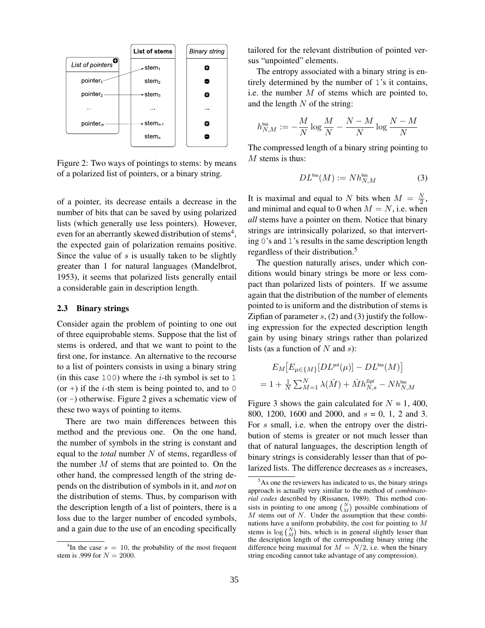

Figure 2: Two ways of pointings to stems: by means of a polarized list of pointers, or a binary string.

of a pointer, its decrease entails a decrease in the number of bits that can be saved by using polarized lists (which generally use less pointers). However, even for an aberrantly skewed distribution of stems<sup>4</sup>, the expected gain of polarization remains positive. Since the value of  $s$  is usually taken to be slightly greater than 1 for natural languages (Mandelbrot, 1953), it seems that polarized lists generally entail a considerable gain in description length.

#### 2.3 Binary strings

Consider again the problem of pointing to one out of three equiprobable stems. Suppose that the list of stems is ordered, and that we want to point to the first one, for instance. An alternative to the recourse to a list of pointers consists in using a binary string (in this case 100) where the *i*-th symbol is set to 1 (or +) if the *i*-th stem is being pointed to, and to 0 (or  $-$ ) otherwise. Figure 2 gives a schematic view of these two ways of pointing to items.

There are two main differences between this method and the previous one. On the one hand, the number of symbols in the string is constant and equal to the *total* number N of stems, regardless of the number  $M$  of stems that are pointed to. On the other hand, the compressed length of the string depends on the distribution of symbols in it, and *not* on the distribution of stems. Thus, by comparison with the description length of a list of pointers, there is a loss due to the larger number of encoded symbols, and a gain due to the use of an encoding specifically

tailored for the relevant distribution of pointed versus "unpointed" elements.

The entropy associated with a binary string is entirely determined by the number of 1's it contains, i.e. the number  $M$  of stems which are pointed to, and the length  $N$  of the string:

$$
h_{N,M}^{\text{bin}}:=-\frac{M}{N}\log\frac{M}{N}-\frac{N-M}{N}\log\frac{N-M}{N}
$$

The compressed length of a binary string pointing to  $M$  stems is thus:

$$
DL^{\text{bin}}(M) := Nh_{N,M}^{\text{bin}}\tag{3}
$$

It is maximal and equal to N bits when  $M = \frac{N}{2}$  $\frac{N}{2}$ , and minimal and equal to 0 when  $M = N$ , i.e. when *all* stems have a pointer on them. Notice that binary strings are intrinsically polarized, so that interverting 0's and 1's results in the same description length regardless of their distribution.<sup>5</sup>

The question naturally arises, under which conditions would binary strings be more or less compact than polarized lists of pointers. If we assume again that the distribution of the number of elements pointed to is uniform and the distribution of stems is Zipfian of parameter  $s$ , (2) and (3) justify the following expression for the expected description length gain by using binary strings rather than polarized lists (as a function of  $N$  and  $s$ ):

$$
E_M[E_{\mu \in \{M\}}[DL^{\text{pol}}(\mu)] - DL^{\text{bin}}(M)]
$$
  
= 1 +  $\frac{1}{N} \sum_{M=1}^{N} \lambda(\hat{M}) + \hat{M}h_{N,s}^{\text{Zipf}} - Nh_{N,M}^{\text{bin}}$ 

Figure 3 shows the gain calculated for  $N = 1,400$ , 800, 1200, 1600 and 2000, and  $s = 0$ , 1, 2 and 3. For s small, i.e. when the entropy over the distribution of stems is greater or not much lesser than that of natural languages, the description length of binary strings is considerably lesser than that of polarized lists. The difference decreases as s increases,

<sup>&</sup>lt;sup>4</sup>In the case  $s = 10$ , the probability of the most frequent stem is .999 for  $N = 2000$ .

 $5As$  one the reviewers has indicated to us, the binary strings approach is actually very similar to the method of *combinatorial codes* described by (Rissanen, 1989). This method consists in pointing to one among  $\binom{N}{M}$  possible combinations of M stems out of  $N$ . Under the assumption that these combinations have a uniform probability, the cost for pointing to  $M$ stems is  $\log {N \choose M}$  bits, which is in general slightly lesser than the description length of the corresponding binary string (the difference being maximal for  $M = N/2$ , i.e. when the binary string encoding cannot take advantage of any compression).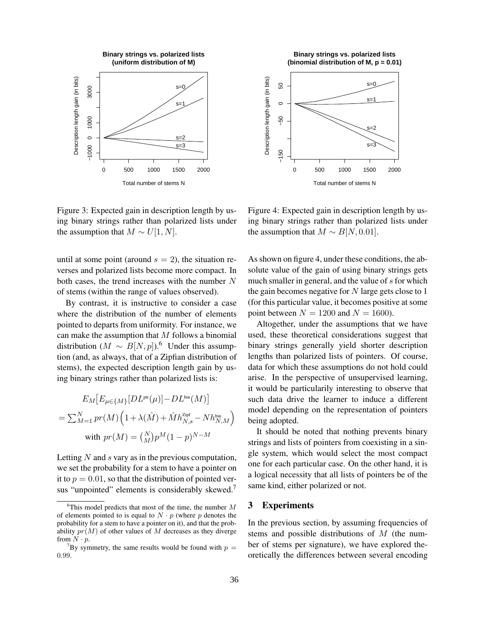

Figure 3: Expected gain in description length by using binary strings rather than polarized lists under the assumption that  $M \sim U[1, N]$ .

until at some point (around  $s = 2$ ), the situation reverses and polarized lists become more compact. In both cases, the trend increases with the number  $N$ of stems (within the range of values observed).

By contrast, it is instructive to consider a case where the distribution of the number of elements pointed to departs from uniformity. For instance, we can make the assumption that  $M$  follows a binomial distribution ( $M \sim B[N, p]$ ).<sup>6</sup> Under this assumption (and, as always, that of a Zipfian distribution of stems), the expected description length gain by using binary strings rather than polarized lists is:

$$
E_M\big[E_{\mu \in \{M\}}[DL^{\text{ptr}}(\mu)] - DL^{\text{bin}}(M)\big]
$$
  
= 
$$
\sum_{M=1}^{N} pr(M) \Big(1 + \lambda(\hat{M}) + \hat{M}h_{N,s}^{\text{Zipf}} - Nh_{N,M}^{\text{bin}}\Big)
$$
  
with 
$$
pr(M) = {N \choose M} p^M (1-p)^{N-M}
$$

Letting  $N$  and  $s$  vary as in the previous computation, we set the probability for a stem to have a pointer on it to  $p = 0.01$ , so that the distribution of pointed versus "unpointed" elements is considerably skewed.<sup>7</sup>



 $-150$ 0 500 1000 1500 2000 Total number of stems N

s=3

Figure 4: Expected gain in description length by using binary strings rather than polarized lists under the assumption that  $M \sim B[N, 0.01]$ .

As shown on figure 4, under these conditions, the absolute value of the gain of using binary strings gets much smaller in general, and the value of s for which the gain becomes negative for  $N$  large gets close to 1 (for this particular value, it becomes positive at some point between  $N = 1200$  and  $N = 1600$ .

Altogether, under the assumptions that we have used, these theoretical considerations suggest that binary strings generally yield shorter description lengths than polarized lists of pointers. Of course, data for which these assumptions do not hold could arise. In the perspective of unsupervised learning, it would be particularily interesting to observe that such data drive the learner to induce a different model depending on the representation of pointers being adopted.

It should be noted that nothing prevents binary strings and lists of pointers from coexisting in a single system, which would select the most compact one for each particular case. On the other hand, it is a logical necessity that all lists of pointers be of the same kind, either polarized or not.

# 3 Experiments

In the previous section, by assuming frequencies of stems and possible distributions of M (the number of stems per signature), we have explored theoretically the differences between several encoding

<sup>&</sup>lt;sup>6</sup>This model predicts that most of the time, the number  $M$ of elements pointed to is equal to  $N \cdot p$  (where p denotes the probability for a stem to have a pointer on it), and that the probability  $pr(M)$  of other values of M decreases as they diverge from  $N \cdot p$ .

 $7By$  symmetry, the same results would be found with  $p =$ 0.99.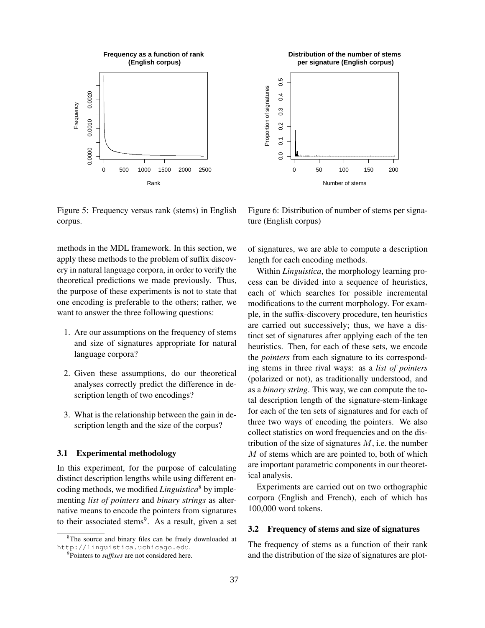



Figure 5: Frequency versus rank (stems) in English corpus.

Figure 6: Distribution of number of stems per signature (English corpus)

methods in the MDL framework. In this section, we apply these methods to the problem of suffix discovery in natural language corpora, in order to verify the theoretical predictions we made previously. Thus, the purpose of these experiments is not to state that one encoding is preferable to the others; rather, we want to answer the three following questions:

- 1. Are our assumptions on the frequency of stems and size of signatures appropriate for natural language corpora?
- 2. Given these assumptions, do our theoretical analyses correctly predict the difference in description length of two encodings?
- 3. What is the relationship between the gain in description length and the size of the corpus?

# 3.1 Experimental methodology

In this experiment, for the purpose of calculating distinct description lengths while using different encoding methods, we modified *Linguistica*<sup>8</sup> by implementing *list of pointers* and *binary strings* as alternative means to encode the pointers from signatures to their associated stems<sup>9</sup>. As a result, given a set

of signatures, we are able to compute a description length for each encoding methods.

Within *Linguistica*, the morphology learning process can be divided into a sequence of heuristics, each of which searches for possible incremental modifications to the current morphology. For example, in the suffix-discovery procedure, ten heuristics are carried out successively; thus, we have a distinct set of signatures after applying each of the ten heuristics. Then, for each of these sets, we encode the *pointers* from each signature to its corresponding stems in three rival ways: as a *list of pointers* (polarized or not), as traditionally understood, and as a *binary string*. This way, we can compute the total description length of the signature-stem-linkage for each of the ten sets of signatures and for each of three two ways of encoding the pointers. We also collect statistics on word frequencies and on the distribution of the size of signatures  $M$ , i.e. the number M of stems which are are pointed to, both of which are important parametric components in our theoretical analysis.

Experiments are carried out on two orthographic corpora (English and French), each of which has 100,000 word tokens.

#### 3.2 Frequency of stems and size of signatures

The frequency of stems as a function of their rank and the distribution of the size of signatures are plot-

<sup>&</sup>lt;sup>8</sup>The source and binary files can be freely downloaded at http://linguistica.uchicago.edu.

<sup>9</sup> Pointers to *suffixes* are not considered here.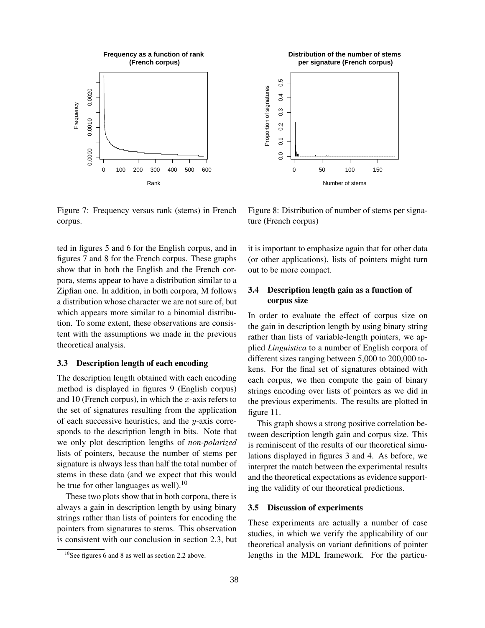

Figure 7: Frequency versus rank (stems) in French corpus.

ted in figures 5 and 6 for the English corpus, and in figures 7 and 8 for the French corpus. These graphs show that in both the English and the French corpora, stems appear to have a distribution similar to a Zipfian one. In addition, in both corpora, M follows a distribution whose character we are not sure of, but which appears more similar to a binomial distribution. To some extent, these observations are consistent with the assumptions we made in the previous theoretical analysis.

### 3.3 Description length of each encoding

The description length obtained with each encoding method is displayed in figures 9 (English corpus) and 10 (French corpus), in which the  $x$ -axis refers to the set of signatures resulting from the application of each successive heuristics, and the  $y$ -axis corresponds to the description length in bits. Note that we only plot description lengths of *non-polarized* lists of pointers, because the number of stems per signature is always less than half the total number of stems in these data (and we expect that this would be true for other languages as well).<sup>10</sup>

These two plots show that in both corpora, there is always a gain in description length by using binary strings rather than lists of pointers for encoding the pointers from signatures to stems. This observation is consistent with our conclusion in section 2.3, but

**Distribution of the number of stems per signature (French corpus)**  $0.5$ 0.0 0.1 0.2 0.3 0.4 0.5 Proportion of signatures Proportion of signatures  $0.4$  $\ddot{0}$  $0.2$  $\overline{0}$  $0.0$ 0 50 100 150 Number of stems

Figure 8: Distribution of number of stems per signature (French corpus)

it is important to emphasize again that for other data (or other applications), lists of pointers might turn out to be more compact.

# 3.4 Description length gain as a function of corpus size

In order to evaluate the effect of corpus size on the gain in description length by using binary string rather than lists of variable-length pointers, we applied *Linguistica* to a number of English corpora of different sizes ranging between 5,000 to 200,000 tokens. For the final set of signatures obtained with each corpus, we then compute the gain of binary strings encoding over lists of pointers as we did in the previous experiments. The results are plotted in figure 11.

This graph shows a strong positive correlation between description length gain and corpus size. This is reminiscent of the results of our theoretical simulations displayed in figures 3 and 4. As before, we interpret the match between the experimental results and the theoretical expectations as evidence supporting the validity of our theoretical predictions.

### 3.5 Discussion of experiments

These experiments are actually a number of case studies, in which we verify the applicability of our theoretical analysis on variant definitions of pointer lengths in the MDL framework. For the particu-

 $10$ See figures 6 and 8 as well as section 2.2 above.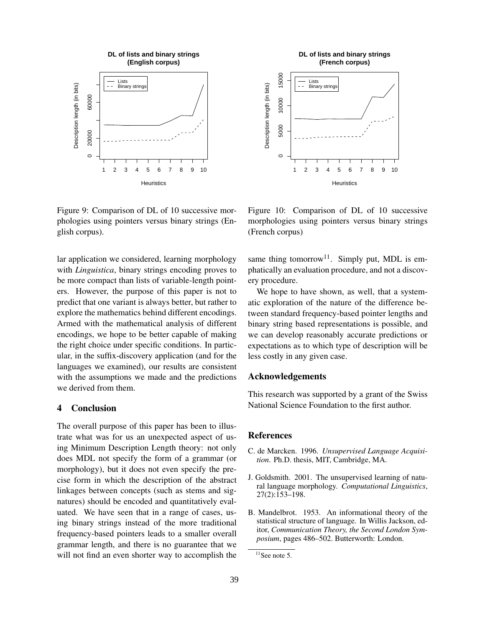

Figure 9: Comparison of DL of 10 successive morphologies using pointers versus binary strings (English corpus).

lar application we considered, learning morphology with *Linguistica*, binary strings encoding proves to be more compact than lists of variable-length pointers. However, the purpose of this paper is not to predict that one variant is always better, but rather to explore the mathematics behind different encodings. Armed with the mathematical analysis of different encodings, we hope to be better capable of making the right choice under specific conditions. In particular, in the suffix-discovery application (and for the languages we examined), our results are consistent with the assumptions we made and the predictions we derived from them.

### 4 Conclusion

The overall purpose of this paper has been to illustrate what was for us an unexpected aspect of using Minimum Description Length theory: not only does MDL not specify the form of a grammar (or morphology), but it does not even specify the precise form in which the description of the abstract linkages between concepts (such as stems and signatures) should be encoded and quantitatively evaluated. We have seen that in a range of cases, using binary strings instead of the more traditional frequency-based pointers leads to a smaller overall grammar length, and there is no guarantee that we will not find an even shorter way to accomplish the



Figure 10: Comparison of DL of 10 successive morphologies using pointers versus binary strings (French corpus)

same thing tomorrow<sup>11</sup>. Simply put, MDL is emphatically an evaluation procedure, and not a discovery procedure.

We hope to have shown, as well, that a systematic exploration of the nature of the difference between standard frequency-based pointer lengths and binary string based representations is possible, and we can develop reasonably accurate predictions or expectations as to which type of description will be less costly in any given case.

### Acknowledgements

This research was supported by a grant of the Swiss National Science Foundation to the first author.

### **References**

- C. de Marcken. 1996. *Unsupervised Language Acquisition*. Ph.D. thesis, MIT, Cambridge, MA.
- J. Goldsmith. 2001. The unsupervised learning of natural language morphology. *Computational Linguistics*, 27(2):153–198.
- B. Mandelbrot. 1953. An informational theory of the statistical structure of language. In Willis Jackson, editor, *Communication Theory, the Second London Symposium*, pages 486–502. Butterworth: London.

 $11$ See note 5.